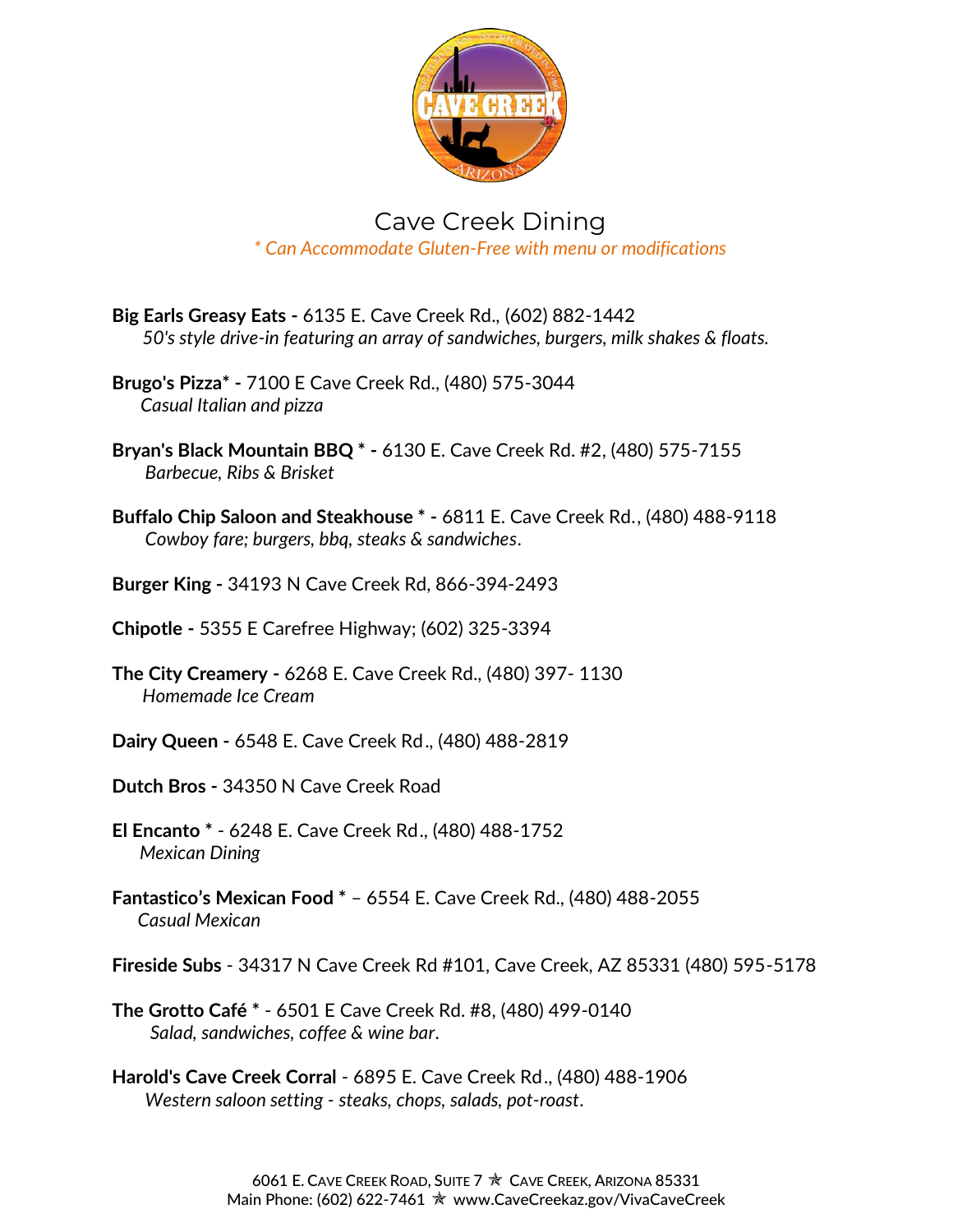

## Cave Creek Dining *\* Can Accommodate Gluten-Free with menu or modifications*

- **Big Earls Greasy Eats -** [6135 E. Cave Creek Rd.](https://www.google.com/maps/place/6135+E+Cave+Creek+Rd,+Cave+Creek,+AZ+85331/@33.8320049,-111.9481869,17z/data=!3m1!4b1!4m2!3m1!1s0x872b7e9ee3e54ee1:0xbf9977b404dad40a), (602) 882-1442  *50's style drive-in featuring an array of sandwiches, burgers, milk shakes & floats.*
- **Brugo's Pizza\* -** [7100 E Cave Creek Rd.,](http://binged.it/1Wu0Mk8) (480) 575-3044 *Casual Italian and pizza*
- **Bryan's Black Mountain BBQ \* -** [6130 E. Cave Creek Rd. #2,](https://www.google.com/maps/place/6130+E+Cave+Creek+Rd+%232,+Cave+Creek,+AZ+85331/@33.832656,-111.948576,17z/data=!3m1!4b1!4m2!3m1!1s0x872b7e9ef21d1837:0xfeeae3ca02e798f7) (480) 575-7155 *Barbecue, Ribs & Brisket*
- **Buffalo Chip Saloon and Steakhouse \* -** [6811 E. Cave Creek Rd.](https://www.google.com/maps/place/6811+E+Cave+Creek+Rd,+Cave+Creek,+AZ+85331/@33.8310762,-111.9344957,17z/data=!3m1!4b1!4m2!3m1!1s0x872b7ebdfd103be1:0x23cc70345ef3eb97), (480) 488-9118 *Cowboy fare; burgers, bbq, steaks & sandwiches*.
- **Burger King -** 34193 N Cave Creek Rd, 866-394-2493
- **Chipotle -** 5355 E Carefree Highway; (602) 325-3394
- **The City Creamery -** 6268 E. Cave Creek Rd., (480) 397- 1130  *Homemade Ice Cream*
- **Dairy Queen -** 6548 E. Cave Creek Rd., (480) 488-2819
- **Dutch Bros -** 34350 N Cave Creek Road
- **El Encanto \*** 6248 E. Cave Creek Rd., (480) 488-1752 *Mexican Dining*
- **Fantastico's Mexican Food \*** 6554 E. Cave Creek Rd., (480) 488-2055  *Casual Mexican*
- **Fireside Subs** 34317 N Cave Creek Rd #101, Cave Creek, AZ 85331 (480) 595-5178
- **The Grotto Café \*** [6501 E Cave Creek Rd. #8,](https://www.google.com/maps/place/6501+E+Cave+Creek+Rd+%238,+Cave+Creek,+AZ+85331/@33.8322369,-111.9408189,17z/data=!3m1!4b1!4m2!3m1!1s0x872b7e98249b7faf:0xa5f49105dc449fc1) (480) 499-0140 *Salad, sandwiches, coffee & wine bar*.
- **Harold's Cave Creek Corral** [6895 E. Cave Creek Rd.](https://www.google.com/maps/place/6895+E+Cave+Creek+Rd,+Cave+Creek,+AZ+85331/@33.8301769,-111.9329179,17z/data=!3m1!4b1!4m2!3m1!1s0x872b7ebe69e7dbf5:0xf685a7bb9236ba86), (480) 488-1906 *Western saloon setting - steaks, chops, salads, pot-roast*.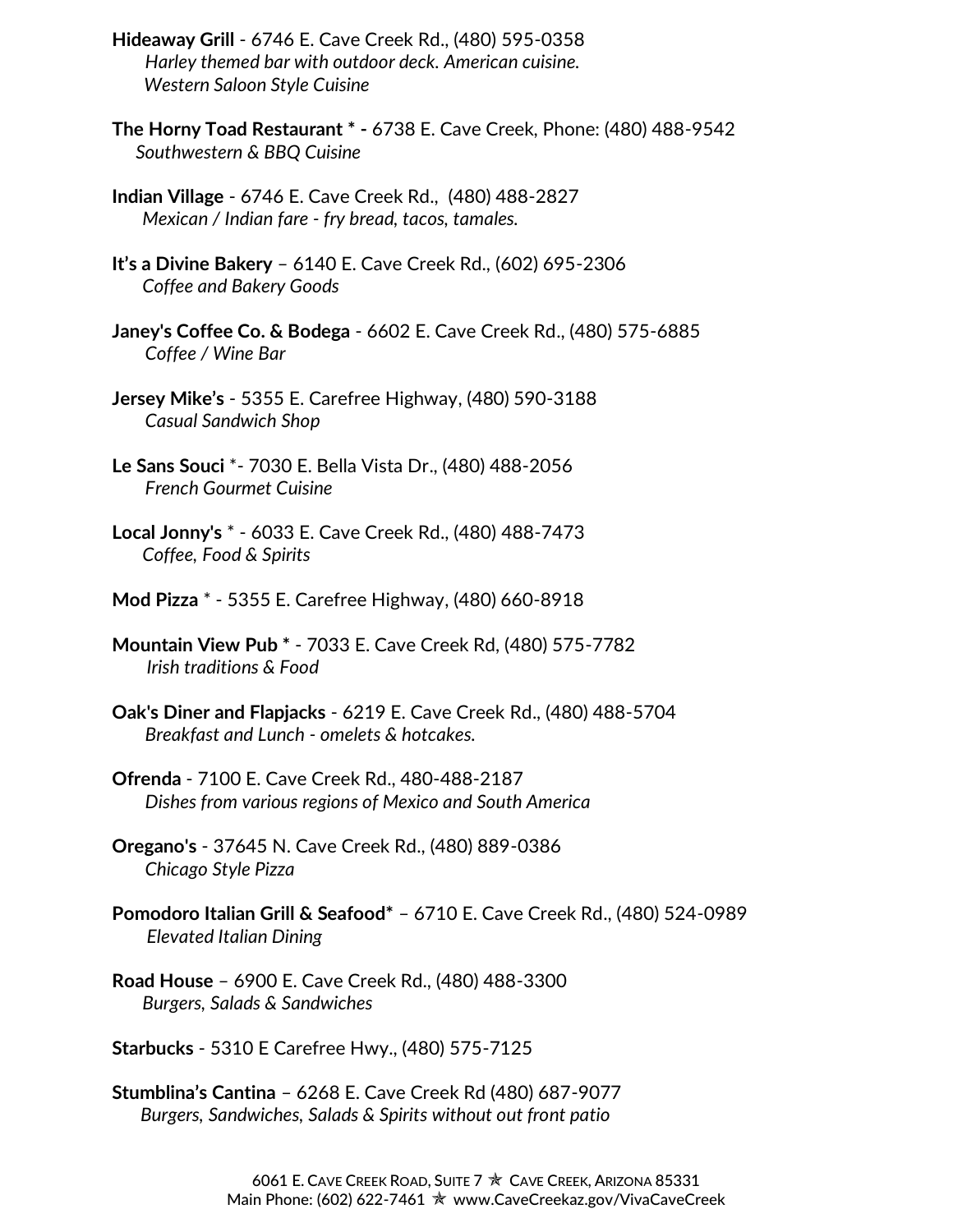- **Hideaway Grill** [6746 E. Cave Creek Rd.](https://www.google.com/maps/place/6746+E+Cave+Creek+Rd,+Cave+Creek,+AZ+85331/@33.8324219,-111.9346658,17z/data=!3m1!4b1!4m2!3m1!1s0x872b7e9608435323:0x178524e0011825e9), (480) 595-0358 *Harley themed bar with outdoor deck. American cuisine.* *Western Saloon Style Cuisine*
- **The Horny Toad Restaurant \* -** 6738 E. Cave Creek, Phone: (480) 488-9542 *Southwestern & BBQ Cuisine*
- **Indian Village** [6746 E. Cave Creek Rd.](https://www.google.com/maps/place/6746+E+Cave+Creek+Rd,+Cave+Creek,+AZ+85331/@33.8324219,-111.9346658,17z/data=!3m1!4b1!4m2!3m1!1s0x872b7e9608435323:0x178524e0011825e9), (480) 488-2827  *Mexican / Indian fare - fry bread, tacos, tamales.*
- **It's a Divine Bakery** 6140 E. Cave Creek Rd., (602) 695-2306  *Coffee and Bakery Goods*
- **Janey's Coffee Co. & Bodega** [6602 E. Cave Creek Rd.](https://www.google.com/maps/place/6602+E+Cave+Creek+Rd,+Cave+Creek,+AZ+85331/@33.8336384,-111.9387527,17z/data=!3m1!4b1!4m2!3m1!1s0x872b7e970af81a95:0xdaa90c84c6ea38cf), (480) 575-6885 *Coffee / Wine Bar*
- **Jersey Mike's** [5355 E. Carefree Highway,](http://www.cavecreek.org/binged.it/1SUCjqk) (480) 590-3188 *Casual Sandwich Shop*
- **Le Sans Souci** \*- [7030 E. Bella Vista Dr.](https://www.google.com/maps/place/7030+E+Bella+Vista+Dr,+Cave+Creek,+AZ+85331/@33.8284049,-111.928799,17z/data=!3m1!4b1!4m2!3m1!1s0x872b7ebf5c04ab8b:0x8c22cad7ae3f5e98), (480) 488-2056 *French Gourmet Cuisine*
- **Local Jonny's** \* [6033 E. Cave Creek Rd.](http://www.cavecreek.org/binged.it/1SUCjqk), (480) 488-7473  *Coffee, Food & Spirits*
- **Mod Pizza** \* [5355 E. Carefree Highway,](http://www.cavecreek.org/binged.it/1SUCjqk) (480) 660-8918
- **Mountain View Pub \*** 7033 E. Cave Creek Rd, (480) 575-7782  *Irish traditions & Food*
- **Oak's Diner and Flapjacks** [6219 E. Cave Creek Rd.](https://www.google.com/maps/place/6219+E+Cave+Creek+Rd,+Cave+Creek,+AZ+85331/@33.832002,-111.9470466,17z/data=!3m1!4b1!4m2!3m1!1s0x872b7e9ed66c9723:0xefaed4be5f48b398), (480) 488-5704 *Breakfast and Lunch - omelets & hotcakes.*
- **Ofrenda** [7100 E. Cave Creek Rd.](http://www.cavecreek.org/binged.it/1Wu0Mk8), 480-488-2187 *Dishes from various regions of Mexico and South America*
- **Oregano's** 37645 N. Cave Creek Rd., (480) 889-0386 *Chicago Style Pizza*
- **Pomodoro Italian Grill & Seafood\*** 6710 E. Cave Creek Rd., (480) 524-0989  *Elevated Italian Dining*
- **Road House** 6900 E. Cave Creek Rd., (480) 488-3300  *Burgers, Salads & Sandwiches*
- **Starbucks** 5310 E Carefree Hwy., (480) 575-7125
- **Stumblina's Cantina** 6268 E. Cave Creek Rd (480) 687-9077 *Burgers, Sandwiches, Salads & Spirits without out front patio*